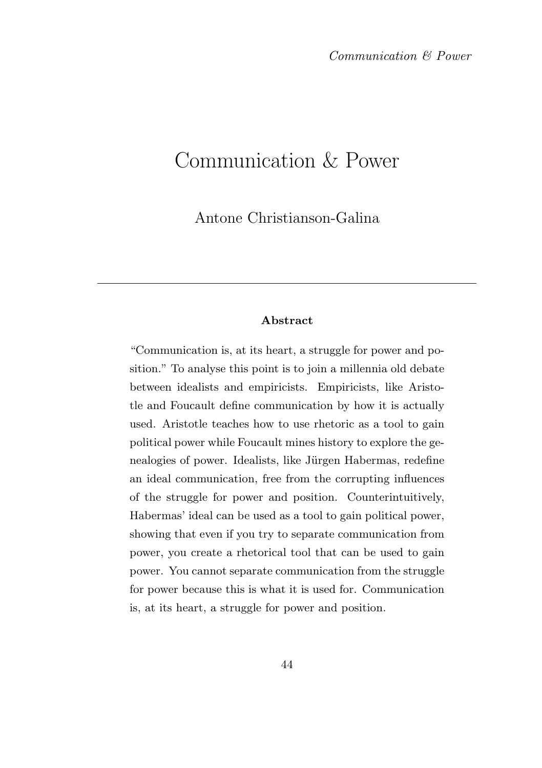# Communication & Power

Antone Christianson-Galina

#### Abstract

"Communication is, at its heart, a struggle for power and position." To analyse this point is to join a millennia old debate between idealists and empiricists. Empiricists, like Aristotle and Foucault define communication by how it is actually used. Aristotle teaches how to use rhetoric as a tool to gain political power while Foucault mines history to explore the genealogies of power. Idealists, like Jürgen Habermas, redefine an ideal communication, free from the corrupting influences of the struggle for power and position. Counterintuitively, Habermas' ideal can be used as a tool to gain political power, showing that even if you try to separate communication from power, you create a rhetorical tool that can be used to gain power. You cannot separate communication from the struggle for power because this is what it is used for. Communication is, at its heart, a struggle for power and position.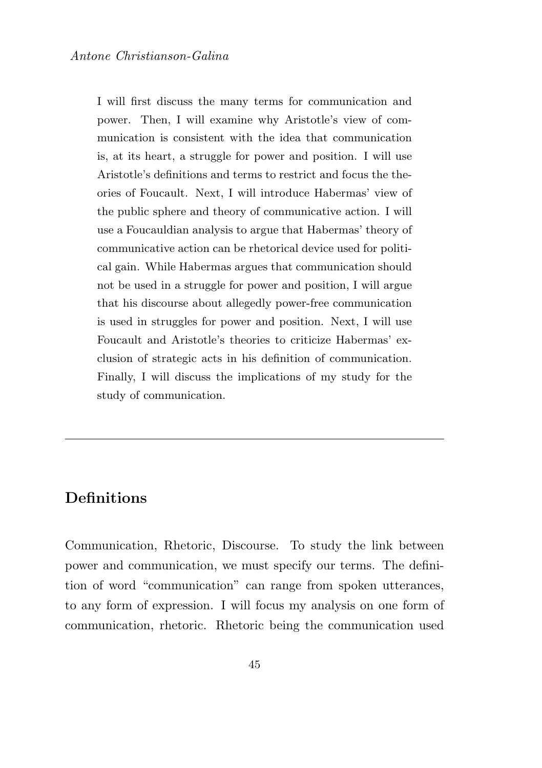I will first discuss the many terms for communication and power. Then, I will examine why Aristotle's view of communication is consistent with the idea that communication is, at its heart, a struggle for power and position. I will use Aristotle's definitions and terms to restrict and focus the theories of Foucault. Next, I will introduce Habermas' view of the public sphere and theory of communicative action. I will use a Foucauldian analysis to argue that Habermas' theory of communicative action can be rhetorical device used for political gain. While Habermas argues that communication should not be used in a struggle for power and position, I will argue that his discourse about allegedly power-free communication is used in struggles for power and position. Next, I will use Foucault and Aristotle's theories to criticize Habermas' exclusion of strategic acts in his definition of communication. Finally, I will discuss the implications of my study for the study of communication.

### **Definitions**

Communication, Rhetoric, Discourse. To study the link between power and communication, we must specify our terms. The definition of word "communication" can range from spoken utterances, to any form of expression. I will focus my analysis on one form of communication, rhetoric. Rhetoric being the communication used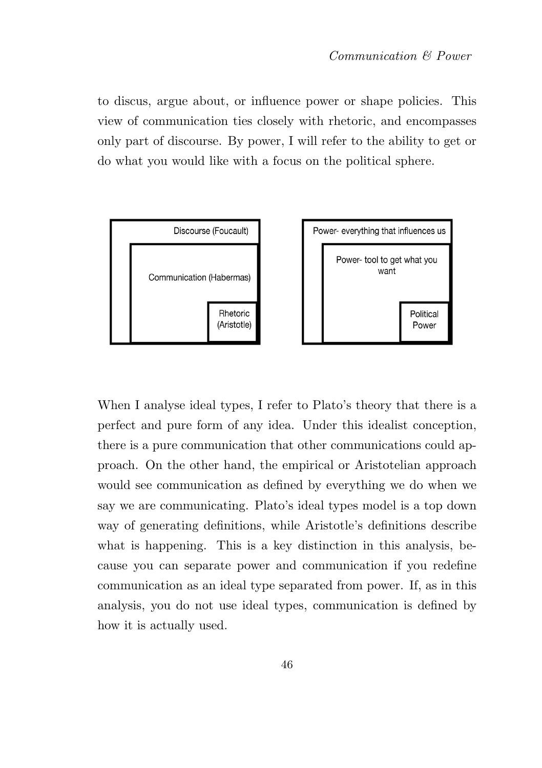to discus, argue about, or influence power or shape policies. This view of communication ties closely with rhetoric, and encompasses only part of discourse. By power, I will refer to the ability to get or do what you would like with a focus on the political sphere.



When I analyse ideal types, I refer to Plato's theory that there is a perfect and pure form of any idea. Under this idealist conception, there is a pure communication that other communications could approach. On the other hand, the empirical or Aristotelian approach would see communication as defined by everything we do when we say we are communicating. Plato's ideal types model is a top down way of generating definitions, while Aristotle's definitions describe what is happening. This is a key distinction in this analysis, because you can separate power and communication if you redefine communication as an ideal type separated from power. If, as in this analysis, you do not use ideal types, communication is defined by how it is actually used.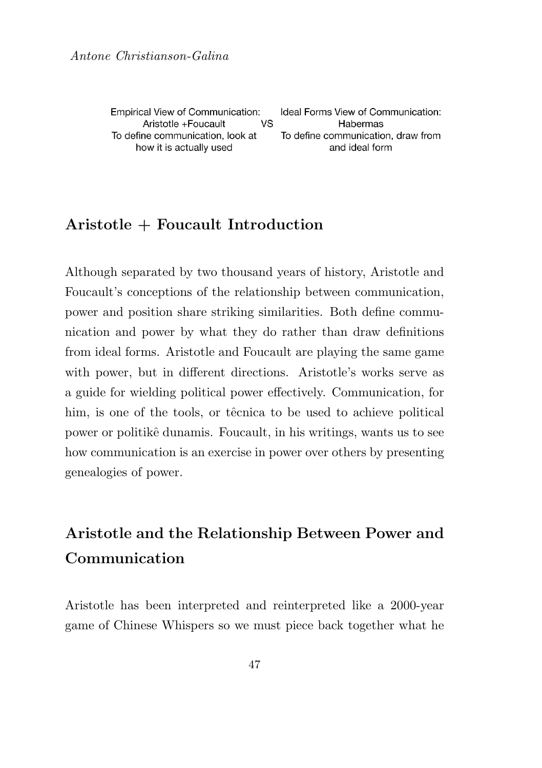Empirical View of Communication: **VS** Aristotle +Foucault To define communication, look at how it is actually used

Ideal Forms View of Communication: Habermas To define communication, draw from and ideal form

#### Aristotle + Foucault Introduction

Although separated by two thousand years of history, Aristotle and Foucault's conceptions of the relationship between communication, power and position share striking similarities. Both define communication and power by what they do rather than draw definitions from ideal forms. Aristotle and Foucault are playing the same game with power, but in different directions. Aristotle's works serve as a guide for wielding political power effectively. Communication, for him, is one of the tools, or têcnica to be used to achieve political power or politikˆe dunamis. Foucault, in his writings, wants us to see how communication is an exercise in power over others by presenting genealogies of power.

## Aristotle and the Relationship Between Power and Communication

Aristotle has been interpreted and reinterpreted like a 2000-year game of Chinese Whispers so we must piece back together what he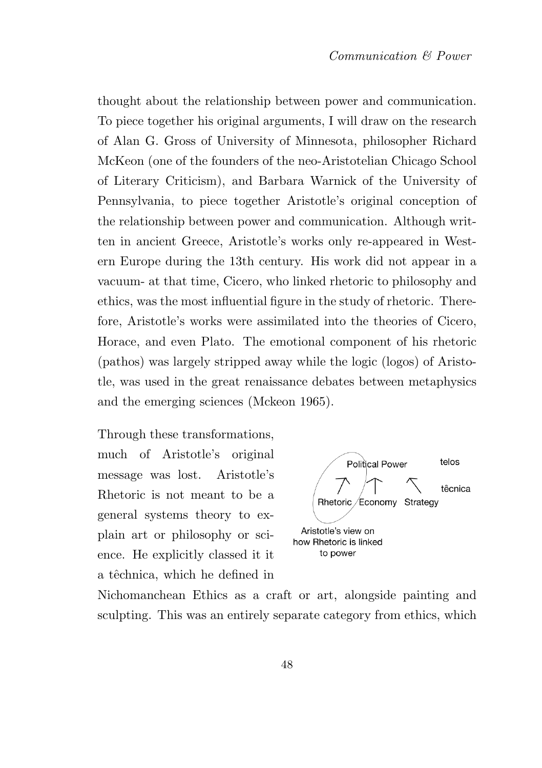thought about the relationship between power and communication. To piece together his original arguments, I will draw on the research of Alan G. Gross of University of Minnesota, philosopher Richard McKeon (one of the founders of the neo-Aristotelian Chicago School of Literary Criticism), and Barbara Warnick of the University of Pennsylvania, to piece together Aristotle's original conception of the relationship between power and communication. Although written in ancient Greece, Aristotle's works only re-appeared in Western Europe during the 13th century. His work did not appear in a vacuum- at that time, Cicero, who linked rhetoric to philosophy and ethics, was the most influential figure in the study of rhetoric. Therefore, Aristotle's works were assimilated into the theories of Cicero, Horace, and even Plato. The emotional component of his rhetoric (pathos) was largely stripped away while the logic (logos) of Aristotle, was used in the great renaissance debates between metaphysics and the emerging sciences (Mckeon 1965).

Through these transformations, much of Aristotle's original message was lost. Aristotle's Rhetoric is not meant to be a general systems theory to explain art or philosophy or science. He explicitly classed it it a têchnica, which he defined in



Nichomanchean Ethics as a craft or art, alongside painting and sculpting. This was an entirely separate category from ethics, which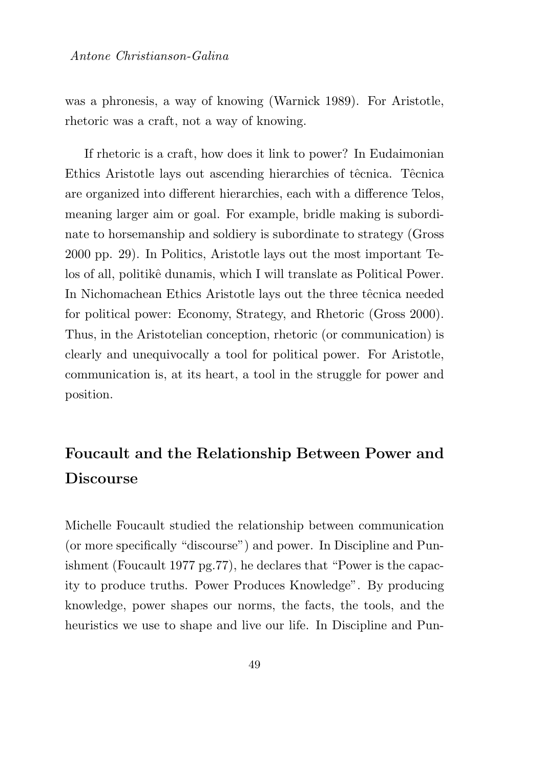was a phronesis, a way of knowing (Warnick 1989). For Aristotle, rhetoric was a craft, not a way of knowing.

If rhetoric is a craft, how does it link to power? In Eudaimonian Ethics Aristotle lays out ascending hierarchies of têcnica. Têcnica are organized into different hierarchies, each with a difference Telos, meaning larger aim or goal. For example, bridle making is subordinate to horsemanship and soldiery is subordinate to strategy (Gross 2000 pp. 29). In Politics, Aristotle lays out the most important Telos of all, politikê dunamis, which I will translate as Political Power. In Nichomachean Ethics Aristotle lays out the three têcnica needed for political power: Economy, Strategy, and Rhetoric (Gross 2000). Thus, in the Aristotelian conception, rhetoric (or communication) is clearly and unequivocally a tool for political power. For Aristotle, communication is, at its heart, a tool in the struggle for power and position.

## Foucault and the Relationship Between Power and Discourse

Michelle Foucault studied the relationship between communication (or more specifically "discourse") and power. In Discipline and Punishment (Foucault 1977 pg.77), he declares that "Power is the capacity to produce truths. Power Produces Knowledge". By producing knowledge, power shapes our norms, the facts, the tools, and the heuristics we use to shape and live our life. In Discipline and Pun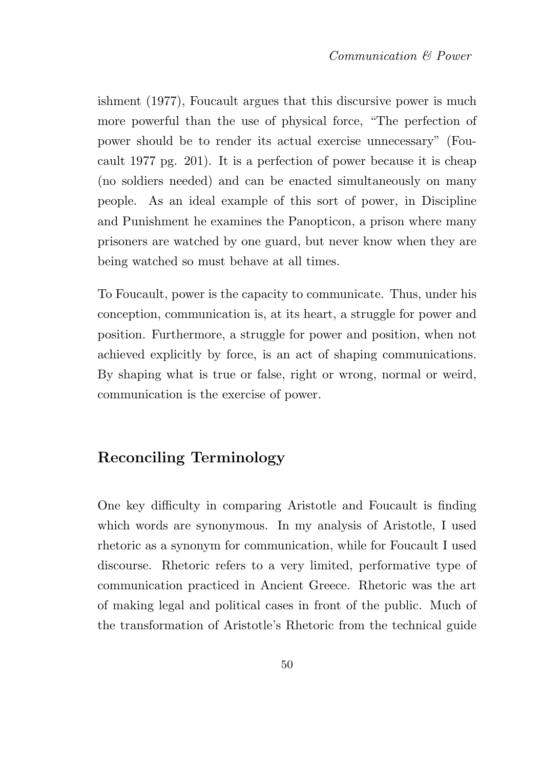ishment (1977), Foucault argues that this discursive power is much more powerful than the use of physical force, "The perfection of power should be to render its actual exercise unnecessary" (Foucault 1977 pg. 201). It is a perfection of power because it is cheap (no soldiers needed) and can be enacted simultaneously on many people. As an ideal example of this sort of power, in Discipline and Punishment he examines the Panopticon, a prison where many prisoners are watched by one guard, but never know when they are being watched so must behave at all times.

To Foucault, power is the capacity to communicate. Thus, under his conception, communication is, at its heart, a struggle for power and position. Furthermore, a struggle for power and position, when not achieved explicitly by force, is an act of shaping communications. By shaping what is true or false, right or wrong, normal or weird, communication is the exercise of power.

### Reconciling Terminology

One key difficulty in comparing Aristotle and Foucault is finding which words are synonymous. In my analysis of Aristotle, I used rhetoric as a synonym for communication, while for Foucault I used discourse. Rhetoric refers to a very limited, performative type of communication practiced in Ancient Greece. Rhetoric was the art of making legal and political cases in front of the public. Much of the transformation of Aristotle's Rhetoric from the technical guide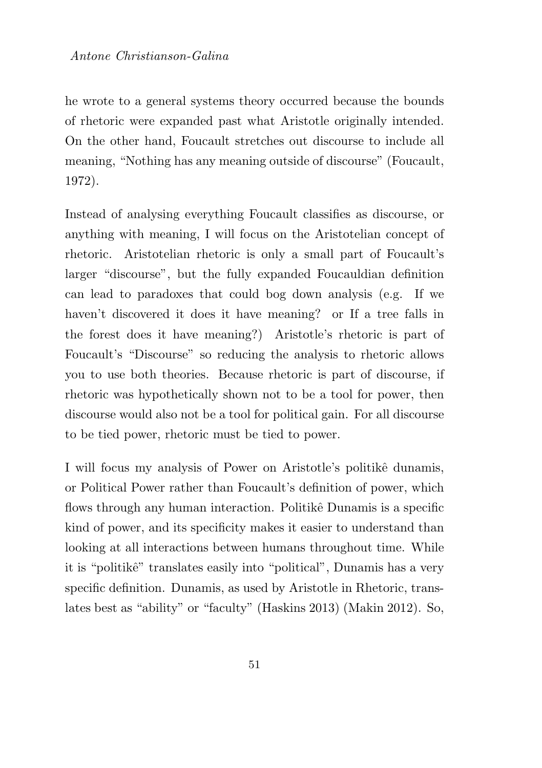he wrote to a general systems theory occurred because the bounds of rhetoric were expanded past what Aristotle originally intended. On the other hand, Foucault stretches out discourse to include all meaning, "Nothing has any meaning outside of discourse" (Foucault, 1972).

Instead of analysing everything Foucault classifies as discourse, or anything with meaning, I will focus on the Aristotelian concept of rhetoric. Aristotelian rhetoric is only a small part of Foucault's larger "discourse", but the fully expanded Foucauldian definition can lead to paradoxes that could bog down analysis (e.g. If we haven't discovered it does it have meaning? or If a tree falls in the forest does it have meaning?) Aristotle's rhetoric is part of Foucault's "Discourse" so reducing the analysis to rhetoric allows you to use both theories. Because rhetoric is part of discourse, if rhetoric was hypothetically shown not to be a tool for power, then discourse would also not be a tool for political gain. For all discourse to be tied power, rhetoric must be tied to power.

I will focus my analysis of Power on Aristotle's politikê dunamis, or Political Power rather than Foucault's definition of power, which flows through any human interaction. Politikê Dunamis is a specific kind of power, and its specificity makes it easier to understand than looking at all interactions between humans throughout time. While it is "politikê" translates easily into "political", Dunamis has a very specific definition. Dunamis, as used by Aristotle in Rhetoric, translates best as "ability" or "faculty" (Haskins 2013) (Makin 2012). So,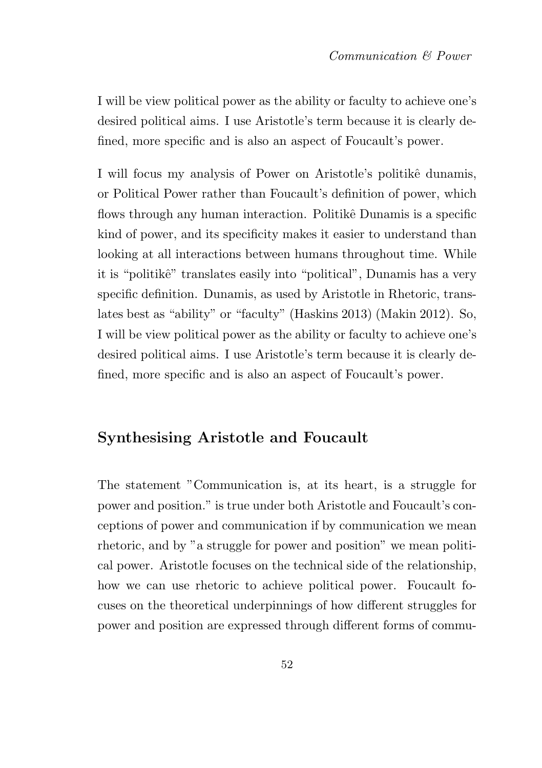I will be view political power as the ability or faculty to achieve one's desired political aims. I use Aristotle's term because it is clearly defined, more specific and is also an aspect of Foucault's power.

I will focus my analysis of Power on Aristotle's politikê dunamis, or Political Power rather than Foucault's definition of power, which flows through any human interaction. Politikê Dunamis is a specific kind of power, and its specificity makes it easier to understand than looking at all interactions between humans throughout time. While it is "politikê" translates easily into "political", Dunamis has a very specific definition. Dunamis, as used by Aristotle in Rhetoric, translates best as "ability" or "faculty" (Haskins 2013) (Makin 2012). So, I will be view political power as the ability or faculty to achieve one's desired political aims. I use Aristotle's term because it is clearly defined, more specific and is also an aspect of Foucault's power.

### Synthesising Aristotle and Foucault

The statement "Communication is, at its heart, is a struggle for power and position." is true under both Aristotle and Foucault's conceptions of power and communication if by communication we mean rhetoric, and by "a struggle for power and position" we mean political power. Aristotle focuses on the technical side of the relationship, how we can use rhetoric to achieve political power. Foucault focuses on the theoretical underpinnings of how different struggles for power and position are expressed through different forms of commu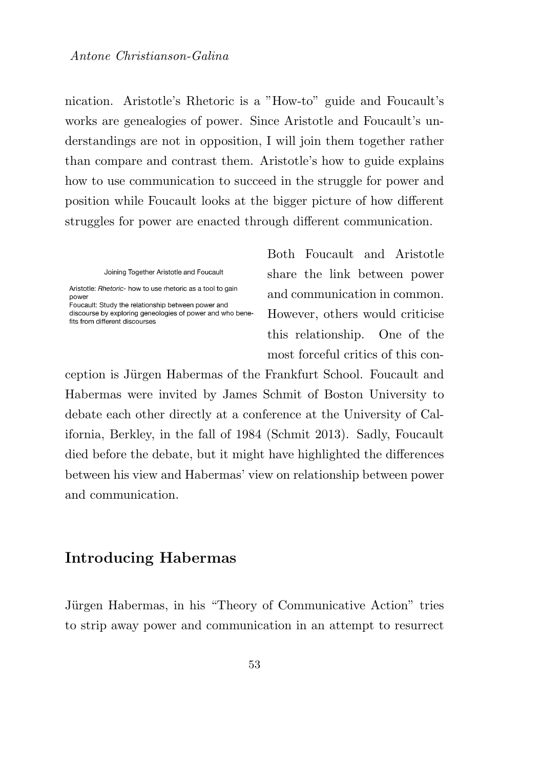nication. Aristotle's Rhetoric is a "How-to" guide and Foucault's works are genealogies of power. Since Aristotle and Foucault's understandings are not in opposition, I will join them together rather than compare and contrast them. Aristotle's how to guide explains how to use communication to succeed in the struggle for power and position while Foucault looks at the bigger picture of how different struggles for power are enacted through different communication.

Joining Together Aristotle and Foucault

Aristotle: Rhetoric- how to use rhetoric as a tool to gain power Foucault: Study the relationship between power and

discourse by exploring geneologies of power and who benefits from different discourses

Both Foucault and Aristotle share the link between power and communication in common. However, others would criticise this relationship. One of the most forceful critics of this con-

ception is Jürgen Habermas of the Frankfurt School. Foucault and Habermas were invited by James Schmit of Boston University to debate each other directly at a conference at the University of California, Berkley, in the fall of 1984 (Schmit 2013). Sadly, Foucault died before the debate, but it might have highlighted the differences between his view and Habermas' view on relationship between power and communication.

#### Introducing Habermas

Jürgen Habermas, in his "Theory of Communicative Action" tries to strip away power and communication in an attempt to resurrect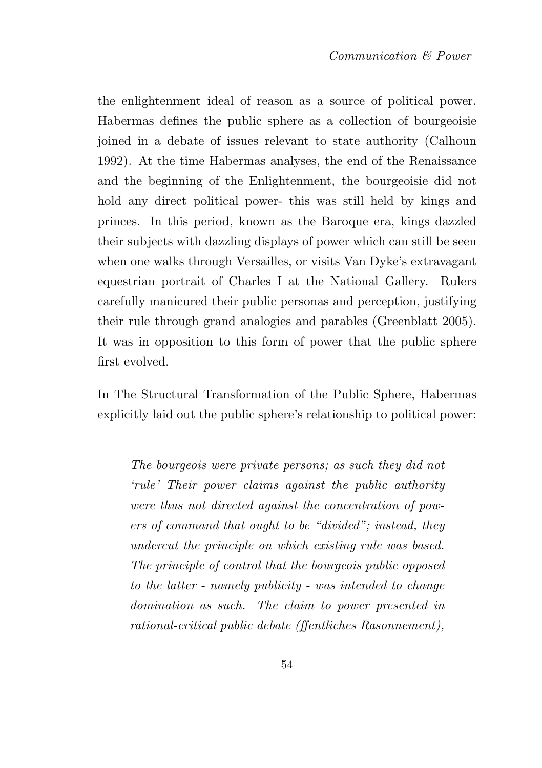the enlightenment ideal of reason as a source of political power. Habermas defines the public sphere as a collection of bourgeoisie joined in a debate of issues relevant to state authority (Calhoun 1992). At the time Habermas analyses, the end of the Renaissance and the beginning of the Enlightenment, the bourgeoisie did not hold any direct political power- this was still held by kings and princes. In this period, known as the Baroque era, kings dazzled their subjects with dazzling displays of power which can still be seen when one walks through Versailles, or visits Van Dyke's extravagant equestrian portrait of Charles I at the National Gallery. Rulers carefully manicured their public personas and perception, justifying their rule through grand analogies and parables (Greenblatt 2005). It was in opposition to this form of power that the public sphere first evolved.

In The Structural Transformation of the Public Sphere, Habermas explicitly laid out the public sphere's relationship to political power:

The bourgeois were private persons; as such they did not 'rule' Their power claims against the public authority were thus not directed against the concentration of powers of command that ought to be "divided"; instead, they undercut the principle on which existing rule was based. The principle of control that the bourgeois public opposed to the latter - namely publicity - was intended to change domination as such. The claim to power presented in rational-critical public debate (ffentliches Rasonnement),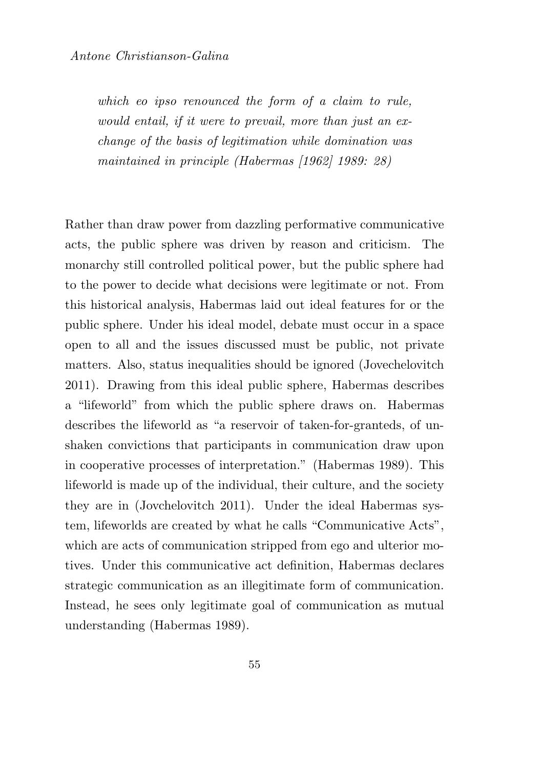which eo ipso renounced the form of a claim to rule, would entail, if it were to prevail, more than just an exchange of the basis of legitimation while domination was maintained in principle (Habermas [1962] 1989: 28)

Rather than draw power from dazzling performative communicative acts, the public sphere was driven by reason and criticism. The monarchy still controlled political power, but the public sphere had to the power to decide what decisions were legitimate or not. From this historical analysis, Habermas laid out ideal features for or the public sphere. Under his ideal model, debate must occur in a space open to all and the issues discussed must be public, not private matters. Also, status inequalities should be ignored (Jovechelovitch 2011). Drawing from this ideal public sphere, Habermas describes a "lifeworld" from which the public sphere draws on. Habermas describes the lifeworld as "a reservoir of taken-for-granteds, of unshaken convictions that participants in communication draw upon in cooperative processes of interpretation." (Habermas 1989). This lifeworld is made up of the individual, their culture, and the society they are in (Jovchelovitch 2011). Under the ideal Habermas system, lifeworlds are created by what he calls "Communicative Acts", which are acts of communication stripped from ego and ulterior motives. Under this communicative act definition, Habermas declares strategic communication as an illegitimate form of communication. Instead, he sees only legitimate goal of communication as mutual understanding (Habermas 1989).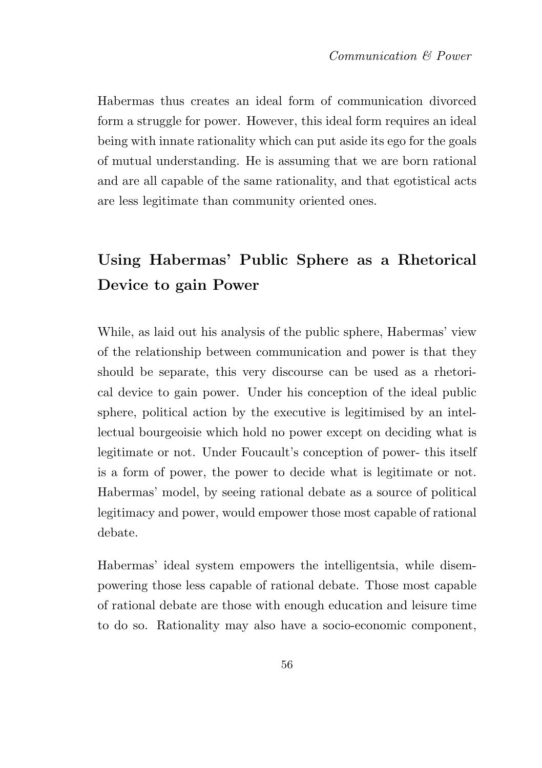Habermas thus creates an ideal form of communication divorced form a struggle for power. However, this ideal form requires an ideal being with innate rationality which can put aside its ego for the goals of mutual understanding. He is assuming that we are born rational and are all capable of the same rationality, and that egotistical acts are less legitimate than community oriented ones.

## Using Habermas' Public Sphere as a Rhetorical Device to gain Power

While, as laid out his analysis of the public sphere, Habermas' view of the relationship between communication and power is that they should be separate, this very discourse can be used as a rhetorical device to gain power. Under his conception of the ideal public sphere, political action by the executive is legitimised by an intellectual bourgeoisie which hold no power except on deciding what is legitimate or not. Under Foucault's conception of power- this itself is a form of power, the power to decide what is legitimate or not. Habermas' model, by seeing rational debate as a source of political legitimacy and power, would empower those most capable of rational debate.

Habermas' ideal system empowers the intelligentsia, while disempowering those less capable of rational debate. Those most capable of rational debate are those with enough education and leisure time to do so. Rationality may also have a socio-economic component,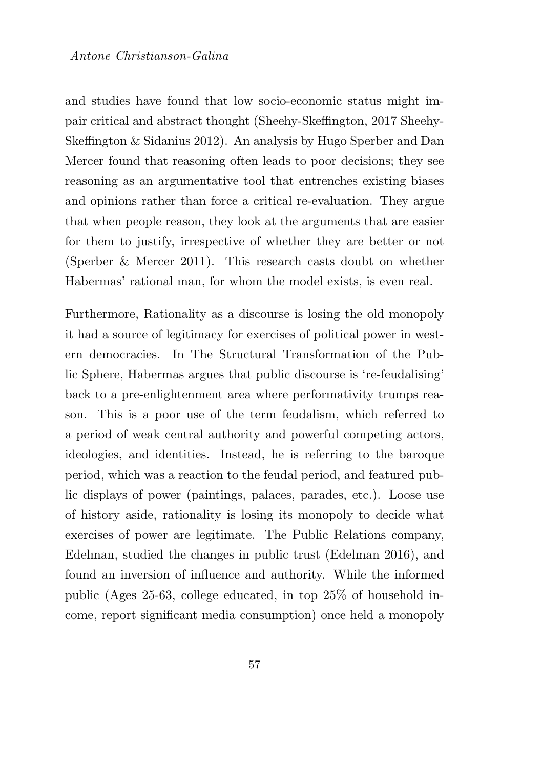#### Antone Christianson-Galina

and studies have found that low socio-economic status might impair critical and abstract thought (Sheehy-Skeffington, 2017 Sheehy-Skeffington & Sidanius 2012). An analysis by Hugo Sperber and Dan Mercer found that reasoning often leads to poor decisions; they see reasoning as an argumentative tool that entrenches existing biases and opinions rather than force a critical re-evaluation. They argue that when people reason, they look at the arguments that are easier for them to justify, irrespective of whether they are better or not (Sperber & Mercer 2011). This research casts doubt on whether Habermas' rational man, for whom the model exists, is even real.

Furthermore, Rationality as a discourse is losing the old monopoly it had a source of legitimacy for exercises of political power in western democracies. In The Structural Transformation of the Public Sphere, Habermas argues that public discourse is 're-feudalising' back to a pre-enlightenment area where performativity trumps reason. This is a poor use of the term feudalism, which referred to a period of weak central authority and powerful competing actors, ideologies, and identities. Instead, he is referring to the baroque period, which was a reaction to the feudal period, and featured public displays of power (paintings, palaces, parades, etc.). Loose use of history aside, rationality is losing its monopoly to decide what exercises of power are legitimate. The Public Relations company, Edelman, studied the changes in public trust (Edelman 2016), and found an inversion of influence and authority. While the informed public (Ages 25-63, college educated, in top 25% of household income, report significant media consumption) once held a monopoly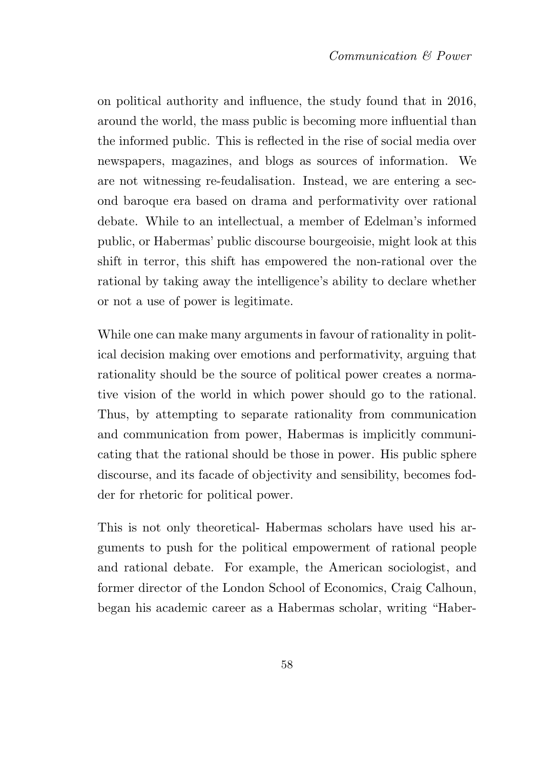on political authority and influence, the study found that in 2016, around the world, the mass public is becoming more influential than the informed public. This is reflected in the rise of social media over newspapers, magazines, and blogs as sources of information. We are not witnessing re-feudalisation. Instead, we are entering a second baroque era based on drama and performativity over rational debate. While to an intellectual, a member of Edelman's informed public, or Habermas' public discourse bourgeoisie, might look at this shift in terror, this shift has empowered the non-rational over the rational by taking away the intelligence's ability to declare whether or not a use of power is legitimate.

While one can make many arguments in favour of rationality in political decision making over emotions and performativity, arguing that rationality should be the source of political power creates a normative vision of the world in which power should go to the rational. Thus, by attempting to separate rationality from communication and communication from power, Habermas is implicitly communicating that the rational should be those in power. His public sphere discourse, and its facade of objectivity and sensibility, becomes fodder for rhetoric for political power.

This is not only theoretical- Habermas scholars have used his arguments to push for the political empowerment of rational people and rational debate. For example, the American sociologist, and former director of the London School of Economics, Craig Calhoun, began his academic career as a Habermas scholar, writing "Haber-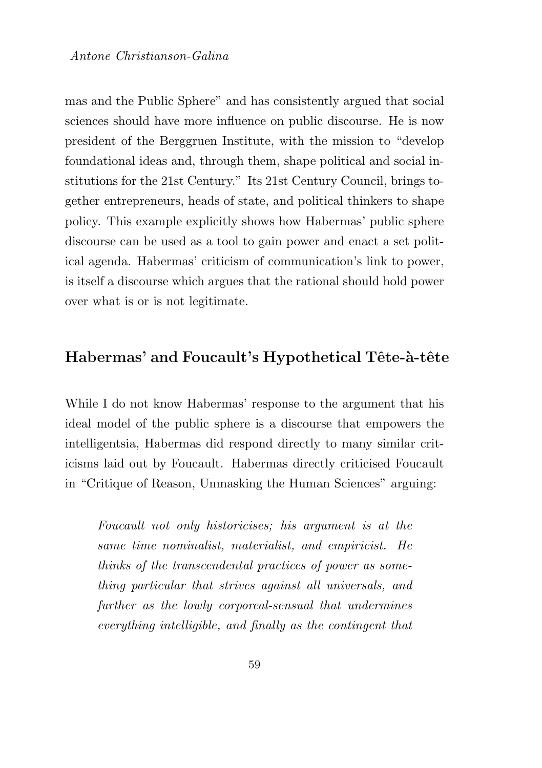mas and the Public Sphere" and has consistently argued that social sciences should have more influence on public discourse. He is now president of the Berggruen Institute, with the mission to "develop foundational ideas and, through them, shape political and social institutions for the 21st Century." Its 21st Century Council, brings together entrepreneurs, heads of state, and political thinkers to shape policy. This example explicitly shows how Habermas' public sphere discourse can be used as a tool to gain power and enact a set political agenda. Habermas' criticism of communication's link to power, is itself a discourse which argues that the rational should hold power over what is or is not legitimate.

#### Habermas' and Foucault's Hypothetical Tête-à-tête

While I do not know Habermas' response to the argument that his ideal model of the public sphere is a discourse that empowers the intelligentsia, Habermas did respond directly to many similar criticisms laid out by Foucault. Habermas directly criticised Foucault in "Critique of Reason, Unmasking the Human Sciences" arguing:

Foucault not only historicises; his argument is at the same time nominalist, materialist, and empiricist. He thinks of the transcendental practices of power as something particular that strives against all universals, and further as the lowly corporeal-sensual that undermines everything intelligible, and finally as the contingent that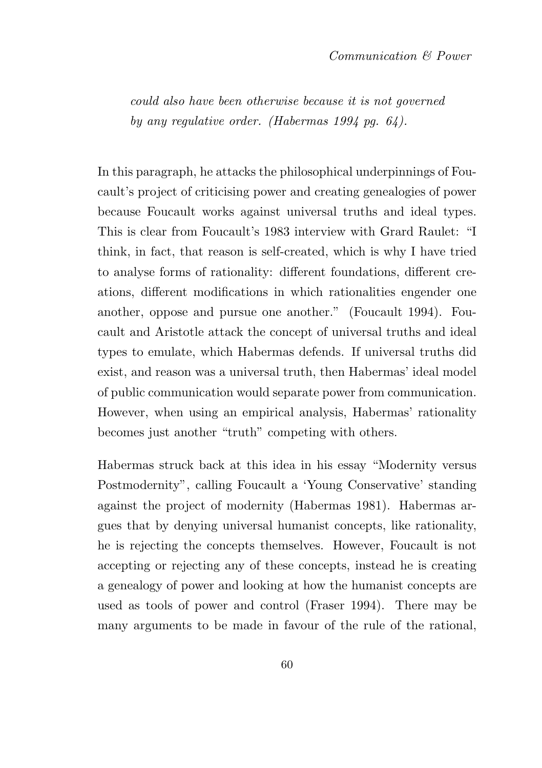could also have been otherwise because it is not governed by any regulative order. (Habermas 1994 pg. 64).

In this paragraph, he attacks the philosophical underpinnings of Foucault's project of criticising power and creating genealogies of power because Foucault works against universal truths and ideal types. This is clear from Foucault's 1983 interview with Grard Raulet: "I think, in fact, that reason is self-created, which is why I have tried to analyse forms of rationality: different foundations, different creations, different modifications in which rationalities engender one another, oppose and pursue one another." (Foucault 1994). Foucault and Aristotle attack the concept of universal truths and ideal types to emulate, which Habermas defends. If universal truths did exist, and reason was a universal truth, then Habermas' ideal model of public communication would separate power from communication. However, when using an empirical analysis, Habermas' rationality becomes just another "truth" competing with others.

Habermas struck back at this idea in his essay "Modernity versus Postmodernity", calling Foucault a 'Young Conservative' standing against the project of modernity (Habermas 1981). Habermas argues that by denying universal humanist concepts, like rationality, he is rejecting the concepts themselves. However, Foucault is not accepting or rejecting any of these concepts, instead he is creating a genealogy of power and looking at how the humanist concepts are used as tools of power and control (Fraser 1994). There may be many arguments to be made in favour of the rule of the rational,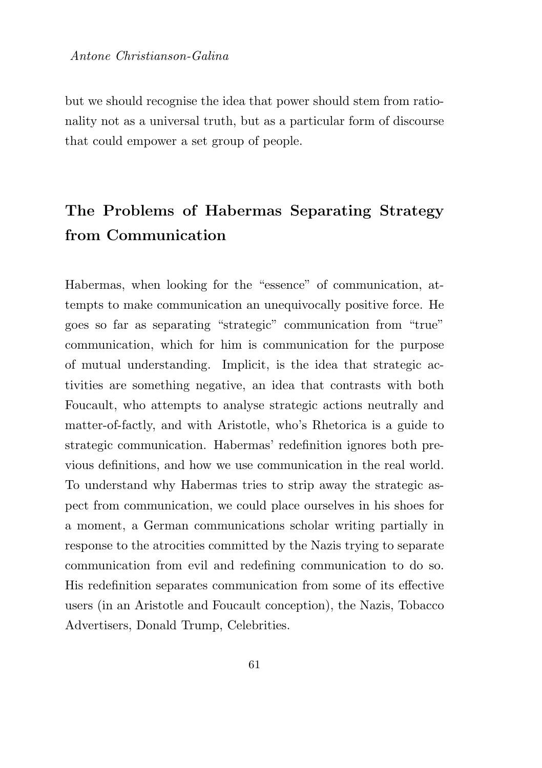but we should recognise the idea that power should stem from rationality not as a universal truth, but as a particular form of discourse that could empower a set group of people.

## The Problems of Habermas Separating Strategy from Communication

Habermas, when looking for the "essence" of communication, attempts to make communication an unequivocally positive force. He goes so far as separating "strategic" communication from "true" communication, which for him is communication for the purpose of mutual understanding. Implicit, is the idea that strategic activities are something negative, an idea that contrasts with both Foucault, who attempts to analyse strategic actions neutrally and matter-of-factly, and with Aristotle, who's Rhetorica is a guide to strategic communication. Habermas' redefinition ignores both previous definitions, and how we use communication in the real world. To understand why Habermas tries to strip away the strategic aspect from communication, we could place ourselves in his shoes for a moment, a German communications scholar writing partially in response to the atrocities committed by the Nazis trying to separate communication from evil and redefining communication to do so. His redefinition separates communication from some of its effective users (in an Aristotle and Foucault conception), the Nazis, Tobacco Advertisers, Donald Trump, Celebrities.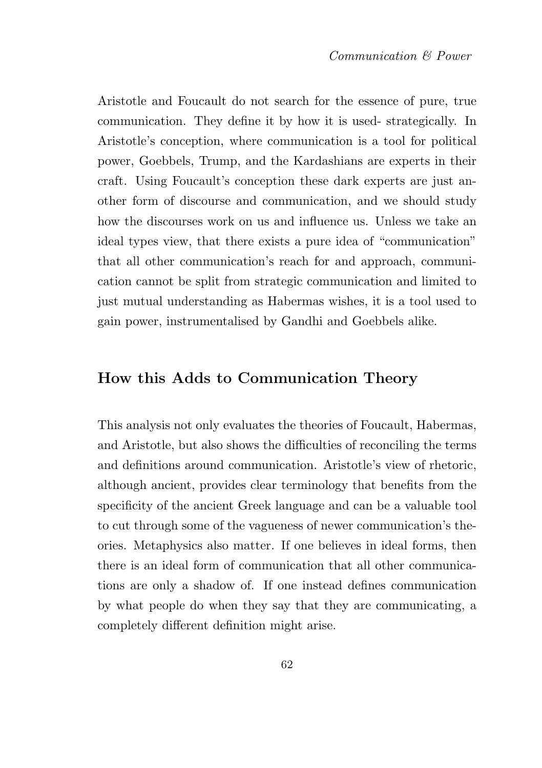Aristotle and Foucault do not search for the essence of pure, true communication. They define it by how it is used- strategically. In Aristotle's conception, where communication is a tool for political power, Goebbels, Trump, and the Kardashians are experts in their craft. Using Foucault's conception these dark experts are just another form of discourse and communication, and we should study how the discourses work on us and influence us. Unless we take an ideal types view, that there exists a pure idea of "communication" that all other communication's reach for and approach, communication cannot be split from strategic communication and limited to just mutual understanding as Habermas wishes, it is a tool used to gain power, instrumentalised by Gandhi and Goebbels alike.

#### How this Adds to Communication Theory

This analysis not only evaluates the theories of Foucault, Habermas, and Aristotle, but also shows the difficulties of reconciling the terms and definitions around communication. Aristotle's view of rhetoric, although ancient, provides clear terminology that benefits from the specificity of the ancient Greek language and can be a valuable tool to cut through some of the vagueness of newer communication's theories. Metaphysics also matter. If one believes in ideal forms, then there is an ideal form of communication that all other communications are only a shadow of. If one instead defines communication by what people do when they say that they are communicating, a completely different definition might arise.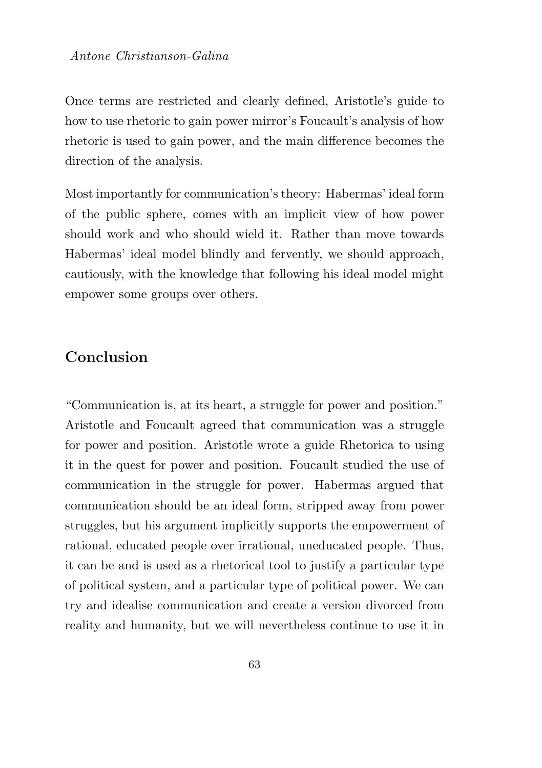Once terms are restricted and clearly defined, Aristotle's guide to how to use rhetoric to gain power mirror's Foucault's analysis of how rhetoric is used to gain power, and the main difference becomes the direction of the analysis.

Most importantly for communication's theory: Habermas' ideal form of the public sphere, comes with an implicit view of how power should work and who should wield it. Rather than move towards Habermas' ideal model blindly and fervently, we should approach, cautiously, with the knowledge that following his ideal model might empower some groups over others.

### **Conclusion**

"Communication is, at its heart, a struggle for power and position." Aristotle and Foucault agreed that communication was a struggle for power and position. Aristotle wrote a guide Rhetorica to using it in the quest for power and position. Foucault studied the use of communication in the struggle for power. Habermas argued that communication should be an ideal form, stripped away from power struggles, but his argument implicitly supports the empowerment of rational, educated people over irrational, uneducated people. Thus, it can be and is used as a rhetorical tool to justify a particular type of political system, and a particular type of political power. We can try and idealise communication and create a version divorced from reality and humanity, but we will nevertheless continue to use it in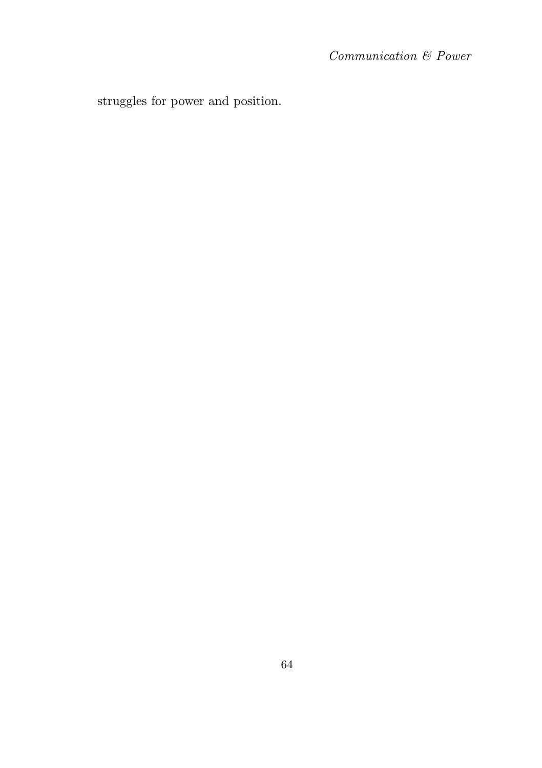struggles for power and position.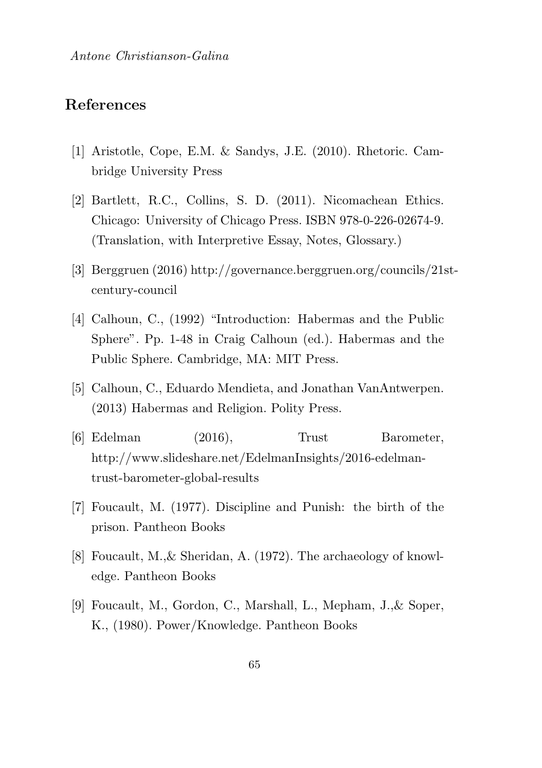#### References

- [1] Aristotle, Cope, E.M. & Sandys, J.E. (2010). Rhetoric. Cambridge University Press
- [2] Bartlett, R.C., Collins, S. D. (2011). Nicomachean Ethics. Chicago: University of Chicago Press. ISBN 978-0-226-02674-9. (Translation, with Interpretive Essay, Notes, Glossary.)
- [3] Berggruen (2016) http://governance.berggruen.org/councils/21stcentury-council
- [4] Calhoun, C., (1992) "Introduction: Habermas and the Public Sphere". Pp. 1-48 in Craig Calhoun (ed.). Habermas and the Public Sphere. Cambridge, MA: MIT Press.
- [5] Calhoun, C., Eduardo Mendieta, and Jonathan VanAntwerpen. (2013) Habermas and Religion. Polity Press.
- [6] Edelman (2016), Trust Barometer, http://www.slideshare.net/EdelmanInsights/2016-edelmantrust-barometer-global-results
- [7] Foucault, M. (1977). Discipline and Punish: the birth of the prison. Pantheon Books
- [8] Foucault, M.,& Sheridan, A. (1972). The archaeology of knowledge. Pantheon Books
- [9] Foucault, M., Gordon, C., Marshall, L., Mepham, J.,& Soper, K., (1980). Power/Knowledge. Pantheon Books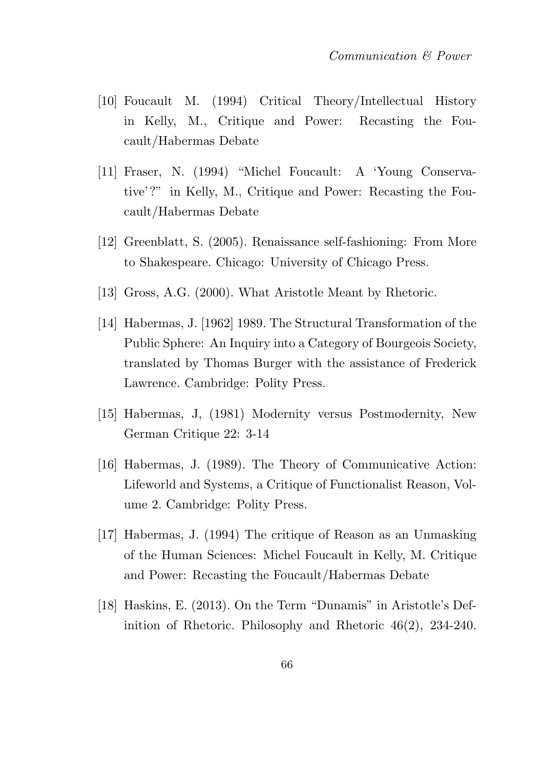- [10] Foucault M. (1994) Critical Theory/Intellectual History in Kelly, M., Critique and Power: Recasting the Foucault/Habermas Debate
- [11] Fraser, N. (1994) "Michel Foucault: A 'Young Conservative'?" in Kelly, M., Critique and Power: Recasting the Foucault/Habermas Debate
- [12] Greenblatt, S. (2005). Renaissance self-fashioning: From More to Shakespeare. Chicago: University of Chicago Press.
- [13] Gross, A.G. (2000). What Aristotle Meant by Rhetoric.
- [14] Habermas, J. [1962] 1989. The Structural Transformation of the Public Sphere: An Inquiry into a Category of Bourgeois Society, translated by Thomas Burger with the assistance of Frederick Lawrence. Cambridge: Polity Press.
- [15] Habermas, J, (1981) Modernity versus Postmodernity, New German Critique 22: 3-14
- [16] Habermas, J. (1989). The Theory of Communicative Action: Lifeworld and Systems, a Critique of Functionalist Reason, Volume 2. Cambridge: Polity Press.
- [17] Habermas, J. (1994) The critique of Reason as an Unmasking of the Human Sciences: Michel Foucault in Kelly, M. Critique and Power: Recasting the Foucault/Habermas Debate
- [18] Haskins, E. (2013). On the Term "Dunamis" in Aristotle's Definition of Rhetoric. Philosophy and Rhetoric 46(2), 234-240.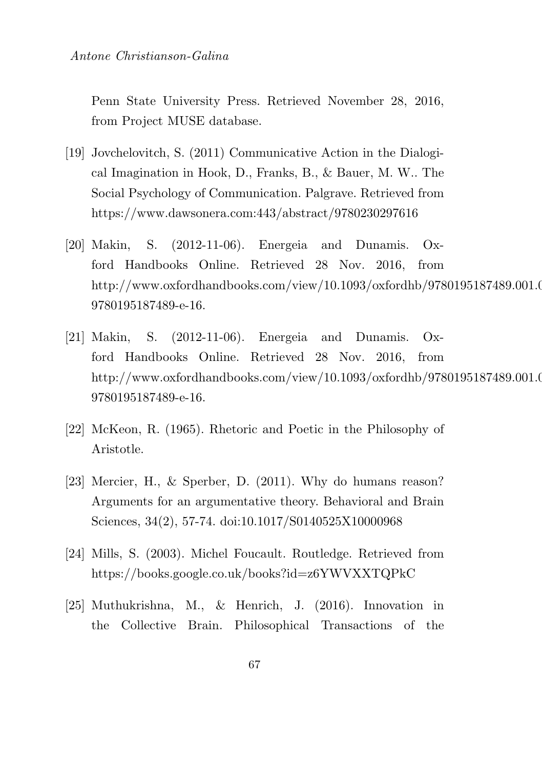Penn State University Press. Retrieved November 28, 2016, from Project MUSE database.

- [19] Jovchelovitch, S. (2011) Communicative Action in the Dialogical Imagination in Hook, D., Franks, B., & Bauer, M. W.. The Social Psychology of Communication. Palgrave. Retrieved from https://www.dawsonera.com:443/abstract/9780230297616
- [20] Makin, S. (2012-11-06). Energeia and Dunamis. Oxford Handbooks Online. Retrieved 28 Nov. 2016, from http://www.oxfordhandbooks.com/view/10.1093/oxfordhb/9780195187489.001.0001/ 9780195187489-e-16.
- [21] Makin, S. (2012-11-06). Energeia and Dunamis. Oxford Handbooks Online. Retrieved 28 Nov. 2016, from http://www.oxfordhandbooks.com/view/10.1093/oxfordhb/9780195187489.001.0001.0001 9780195187489-e-16.
- [22] McKeon, R. (1965). Rhetoric and Poetic in the Philosophy of Aristotle.
- [23] Mercier, H., & Sperber, D. (2011). Why do humans reason? Arguments for an argumentative theory. Behavioral and Brain Sciences, 34(2), 57-74. doi:10.1017/S0140525X10000968
- [24] Mills, S. (2003). Michel Foucault. Routledge. Retrieved from https://books.google.co.uk/books?id=z6YWVXXTQPkC
- [25] Muthukrishna, M., & Henrich, J. (2016). Innovation in the Collective Brain. Philosophical Transactions of the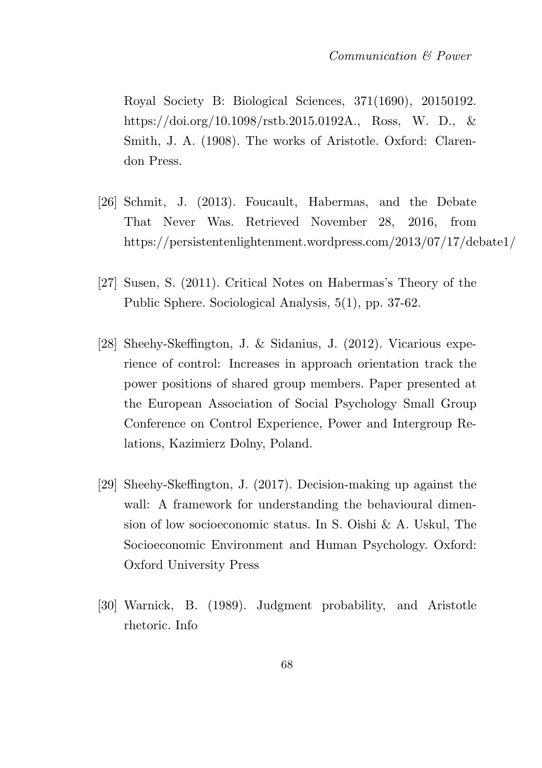Royal Society B: Biological Sciences, 371(1690), 20150192. https://doi.org/10.1098/rstb.2015.0192A., Ross, W. D., & Smith, J. A. (1908). The works of Aristotle. Oxford: Clarendon Press.

- [26] Schmit, J. (2013). Foucault, Habermas, and the Debate That Never Was. Retrieved November 28, 2016, from https://persistentenlightenment.wordpress.com/2013/07/17/debate1/
- [27] Susen, S. (2011). Critical Notes on Habermas's Theory of the Public Sphere. Sociological Analysis, 5(1), pp. 37-62.
- [28] Sheehy-Skeffington, J. & Sidanius, J. (2012). Vicarious experience of control: Increases in approach orientation track the power positions of shared group members. Paper presented at the European Association of Social Psychology Small Group Conference on Control Experience, Power and Intergroup Relations, Kazimierz Dolny, Poland.
- [29] Sheehy-Skeffington, J. (2017). Decision-making up against the wall: A framework for understanding the behavioural dimension of low socioeconomic status. In S. Oishi & A. Uskul, The Socioeconomic Environment and Human Psychology. Oxford: Oxford University Press
- [30] Warnick, B. (1989). Judgment probability, and Aristotle rhetoric. Info